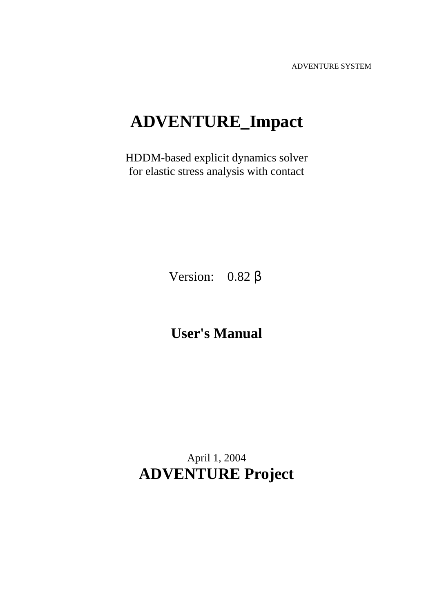ADVENTURE SYSTEM

# **ADVENTURE\_Impact**

HDDM-based explicit dynamics solver for elastic stress analysis with contact

Version: 0.82 β

**User's Manual** 

April 1, 2004 **ADVENTURE Project**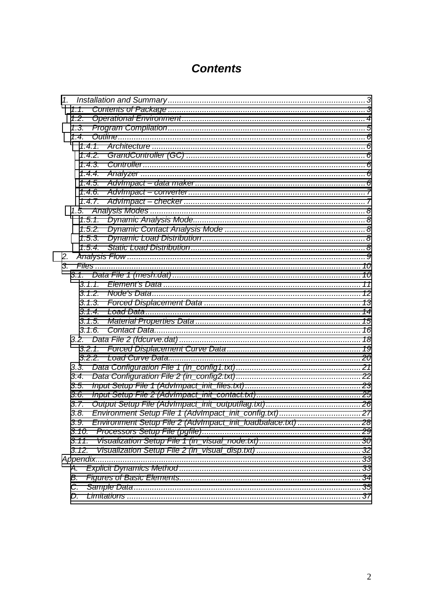# **Contents**

|    | 1.1.     |                                                              |  |  |  |  |  |
|----|----------|--------------------------------------------------------------|--|--|--|--|--|
|    | 1.2.     |                                                              |  |  |  |  |  |
|    | 1.3.     |                                                              |  |  |  |  |  |
|    | 1.4.     |                                                              |  |  |  |  |  |
|    |          |                                                              |  |  |  |  |  |
|    |          |                                                              |  |  |  |  |  |
|    | 1.4.3.   |                                                              |  |  |  |  |  |
|    | 1.4.4.   |                                                              |  |  |  |  |  |
|    | 1.4.5.   |                                                              |  |  |  |  |  |
|    | 1.4.6.   |                                                              |  |  |  |  |  |
|    | 1.4.7.   |                                                              |  |  |  |  |  |
|    |          |                                                              |  |  |  |  |  |
|    | 1.5.1.   |                                                              |  |  |  |  |  |
|    |          |                                                              |  |  |  |  |  |
|    |          |                                                              |  |  |  |  |  |
|    |          |                                                              |  |  |  |  |  |
| 2. |          |                                                              |  |  |  |  |  |
| 3. |          |                                                              |  |  |  |  |  |
|    |          |                                                              |  |  |  |  |  |
|    |          |                                                              |  |  |  |  |  |
|    | 3.1.2.   |                                                              |  |  |  |  |  |
|    | 3.1.3.   |                                                              |  |  |  |  |  |
|    | 3.1.4.   |                                                              |  |  |  |  |  |
|    | 3.1.5.   |                                                              |  |  |  |  |  |
|    | 3.1.6.   |                                                              |  |  |  |  |  |
|    |          |                                                              |  |  |  |  |  |
|    |          |                                                              |  |  |  |  |  |
|    |          |                                                              |  |  |  |  |  |
|    | 3.3.     |                                                              |  |  |  |  |  |
|    | 3.4.     |                                                              |  |  |  |  |  |
|    | 3.5.     |                                                              |  |  |  |  |  |
|    | 3.6.     |                                                              |  |  |  |  |  |
|    | 3.7.     |                                                              |  |  |  |  |  |
|    | 3.8.     |                                                              |  |  |  |  |  |
|    | 3.9.     | Environment Setup File 2 (AdvImpact_init_loadbalace.txt)  28 |  |  |  |  |  |
|    | 3.10.    |                                                              |  |  |  |  |  |
|    | 3.11.    |                                                              |  |  |  |  |  |
|    | 3.12.    |                                                              |  |  |  |  |  |
|    | Appendix |                                                              |  |  |  |  |  |
|    | Α.       |                                                              |  |  |  |  |  |
|    | В.       |                                                              |  |  |  |  |  |
|    | C.       |                                                              |  |  |  |  |  |
|    | D.       |                                                              |  |  |  |  |  |
|    |          |                                                              |  |  |  |  |  |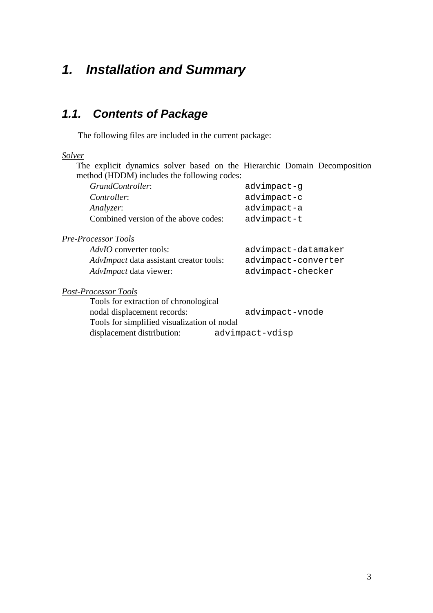# <span id="page-2-0"></span>*1. Installation and Summary*

# *1.1. Contents of Package*

The following files are included in the current package:

*Solver*

The explicit dynamics solver based on the Hierarchic Domain Decomposition method (HDDM) includes the following codes:

| GrandController:                               | advimpact-g         |
|------------------------------------------------|---------------------|
| Controller:                                    | advimpact-c         |
| Analyzer:                                      | advimpact-a         |
| Combined version of the above codes:           | advimpact-t         |
| <b>Pre-Processor Tools</b>                     |                     |
| $AdvIO$ converter tools:                       | advimpact-datamaker |
| <i>AdvImpact</i> data assistant creator tools: | advimpact-converter |
| <i>AdvImpact</i> data viewer:                  | advimpact-checker   |
| <b>Post-Processor Tools</b>                    |                     |
| Tools for extraction of chronological          |                     |
| nodal displacement records:                    | advimpact-vnode     |
| Tools for simplified visualization of nodal    |                     |
| displacement distribution:                     | advimpact-vdisp     |
|                                                |                     |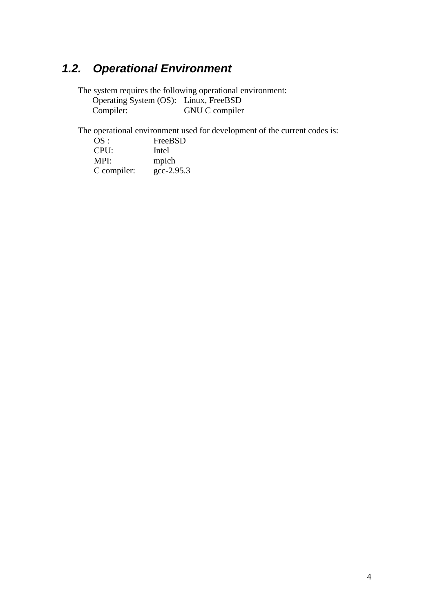# <span id="page-3-0"></span>*1.2. Operational Environment*

The system requires the following operational environment: Operating System (OS): Linux, FreeBSD<br>Compiler: GNU C compiler GNU C compiler

The operational environment used for development of the current codes is:

| OS:         | FreeBSD          |
|-------------|------------------|
| CPU:        | Intel            |
| MPI:        | mpich            |
| C compiler: | $\rm gcc-2.95.3$ |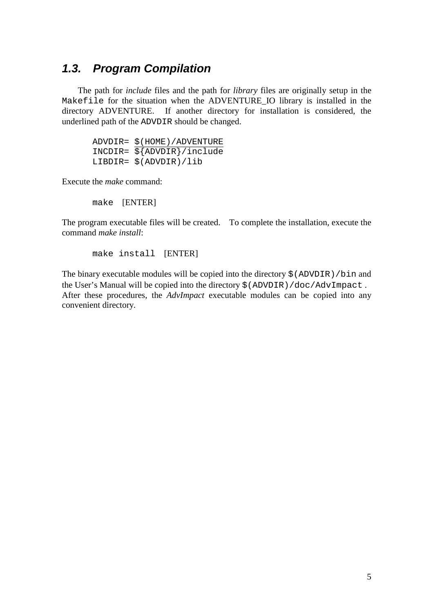## <span id="page-4-0"></span>*1.3. Program Compilation*

The path for *include* files and the path for *library* files are originally setup in the Makefile for the situation when the ADVENTURE\_IO library is installed in the directory ADVENTURE. If another directory for installation is considered, the underlined path of the ADVDIR should be changed.

 ADVDIR= \$(HOME)/ADVENTURE INCDIR= \${ADVDIR}/include LIBDIR= \$(ADVDIR)/lib

Execute the *make* command:

make [ENTER]

The program executable files will be created. To complete the installation, execute the command *make install*:

make install [ENTER]

The binary executable modules will be copied into the directory  $\frac{1}{2}$  (ADVDIR)/bin and the User's Manual will be copied into the directory \$(ADVDIR)/doc/AdvImpact . After these procedures, the *AdvImpact* executable modules can be copied into any convenient directory.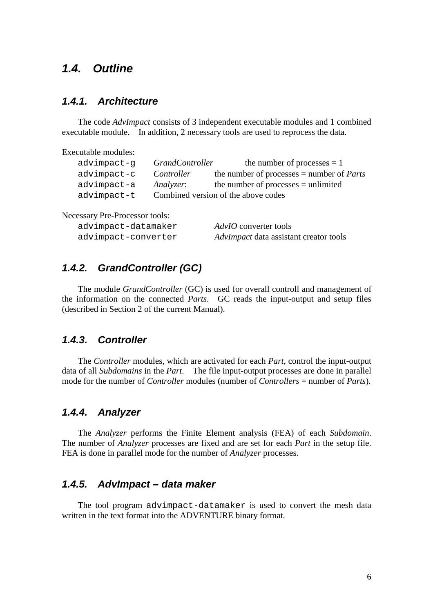## <span id="page-5-0"></span>*1.4. Outline*

#### *1.4.1. Architecture*

The code *AdvImpact* consists of 3 independent executable modules and 1 combined executable module. In addition, 2 necessary tools are used to reprocess the data.

Executable modules:

| advimpact-q | <i>GrandController</i> | the number of processes $= 1$                      |
|-------------|------------------------|----------------------------------------------------|
| advimpact-c | Controller             | the number of processes $=$ number of <i>Parts</i> |
| advimpact-a | Analyzer:              | the number of processes $=$ unlimited              |
| advimpact-t |                        | Combined version of the above codes                |

Necessary Pre-Processor tools:

| advimpact-datamaker | <i>AdvIO</i> converter tools           |
|---------------------|----------------------------------------|
| advimpact-converter | AdvImpact data assistant creator tools |

#### *1.4.2. GrandController (GC)*

The module *GrandController* (GC) is used for overall controll and management of the information on the connected *Parts*. GC reads the input-output and setup files (described in Section 2 of the current Manual).

#### *1.4.3. Controller*

The *Controller* modules, which are activated for each *Part*, control the input-output data of all *Subdomains* in the *Part*. The file input-output processes are done in parallel mode for the number of *Controller* modules (number of *Controllers* = number of *Parts*).

#### *1.4.4. Analyzer*

The *Analyzer* performs the Finite Element analysis (FEA) of each *Subdomain*. The number of *Analyzer* processes are fixed and are set for each *Part* in the setup file. FEA is done in parallel mode for the number of *Analyzer* processes.

### *1.4.5. AdvImpact – data maker*

The tool program advimpact-datamaker is used to convert the mesh data written in the text format into the ADVENTURE binary format.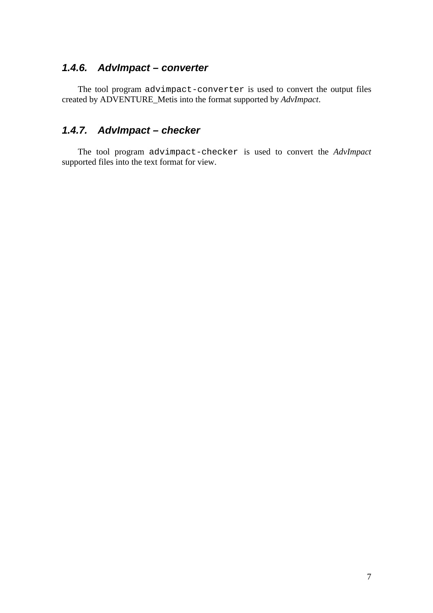#### <span id="page-6-0"></span>*1.4.6. AdvImpact – converter*

The tool program advimpact-converter is used to convert the output files created by ADVENTURE\_Metis into the format supported by *AdvImpact*.

### *1.4.7. AdvImpact – checker*

The tool program advimpact-checker is used to convert the *AdvImpact* supported files into the text format for view.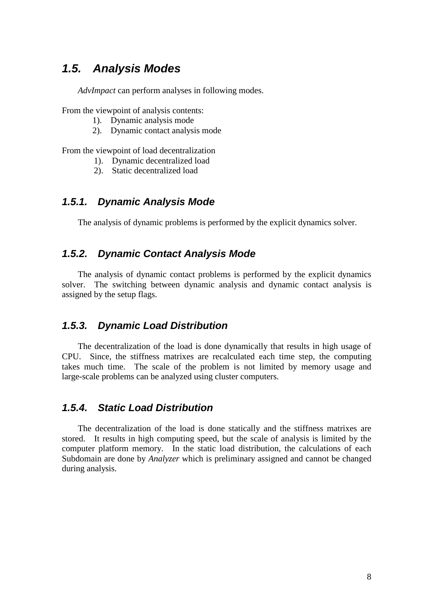## <span id="page-7-0"></span>*1.5. Analysis Modes*

*AdvImpact* can perform analyses in following modes.

From the viewpoint of analysis contents:

- 1). Dynamic analysis mode
- 2). Dynamic contact analysis mode

From the viewpoint of load decentralization

- 1). Dynamic decentralized load
- 2). Static decentralized load

#### *1.5.1. Dynamic Analysis Mode*

The analysis of dynamic problems is performed by the explicit dynamics solver.

### *1.5.2. Dynamic Contact Analysis Mode*

The analysis of dynamic contact problems is performed by the explicit dynamics solver. The switching between dynamic analysis and dynamic contact analysis is assigned by the setup flags.

#### *1.5.3. Dynamic Load Distribution*

The decentralization of the load is done dynamically that results in high usage of CPU. Since, the stiffness matrixes are recalculated each time step, the computing takes much time. The scale of the problem is not limited by memory usage and large-scale problems can be analyzed using cluster computers.

#### *1.5.4. Static Load Distribution*

The decentralization of the load is done statically and the stiffness matrixes are stored. It results in high computing speed, but the scale of analysis is limited by the computer platform memory. In the static load distribution, the calculations of each Subdomain are done by *Analyzer* which is preliminary assigned and cannot be changed during analysis.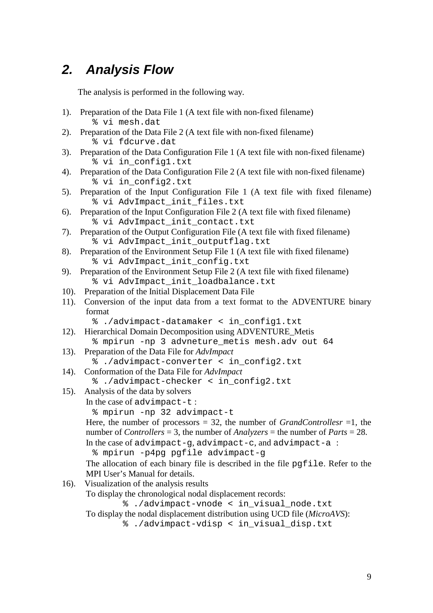# <span id="page-8-0"></span>*2. Analysis Flow*

The analysis is performed in the following way.

- 1). Preparation of the Data File 1 (A text file with non-fixed filename) % vi mesh.dat
- 2). Preparation of the Data File 2 (A text file with non-fixed filename) % vi fdcurve.dat
- 3). Preparation of the Data Configuration File 1 (A text file with non-fixed filename) % vi in\_config1.txt
- 4). Preparation of the Data Configuration File 2 (A text file with non-fixed filename) % vi in\_config2.txt
- 5). Preparation of the Input Configuration File 1 (A text file with fixed filename) % vi AdvImpact\_init\_files.txt
- 6). Preparation of the Input Configuration File 2 (A text file with fixed filename) % vi AdvImpact\_init\_contact.txt
- 7). Preparation of the Output Configuration File (A text file with fixed filename) % vi AdvImpact\_init\_outputflag.txt
- 8). Preparation of the Environment Setup File 1 (A text file with fixed filename) % vi AdvImpact\_init\_config.txt
- 9). Preparation of the Environment Setup File 2 (A text file with fixed filename) % vi AdvImpact\_init\_loadbalance.txt
- 10). Preparation of the Initial Displacement Data File
- 11). Conversion of the input data from a text format to the ADVENTURE binary format
	- % ./advimpact-datamaker < in\_config1.txt
- 12). Hierarchical Domain Decomposition using ADVENTURE\_Metis % mpirun -np 3 advneture\_metis mesh.adv out 64
- 13). Preparation of the Data File for *AdvImpact*

% ./advimpact-converter < in\_config2.txt

- 14). Conformation of the Data File for *AdvImpact*
	- % ./advimpact-checker < in\_config2.txt
- 15). Analysis of the data by solvers In the case of advimpact-t :

```
 % mpirun -np 32 advimpact-t
```

```
 Here, the number of processors = 32, the number of GrandControllesr =1, the 
number of Controllers = 3, the number of Analyzers = the number of Parts = 28. 
In the case of advimpact-g, advimpact-c, and advimpact-a :
```

```
 % mpirun -p4pg pgfile advimpact-g
```
The allocation of each binary file is described in the file pgfile. Refer to the MPI User's Manual for details.

16). Visualization of the analysis results

To display the chronological nodal displacement records:

% ./advimpact-vnode < in\_visual\_node.txt

To display the nodal displacement distribution using UCD file (*MicroAVS*):

% ./advimpact-vdisp < in\_visual\_disp.txt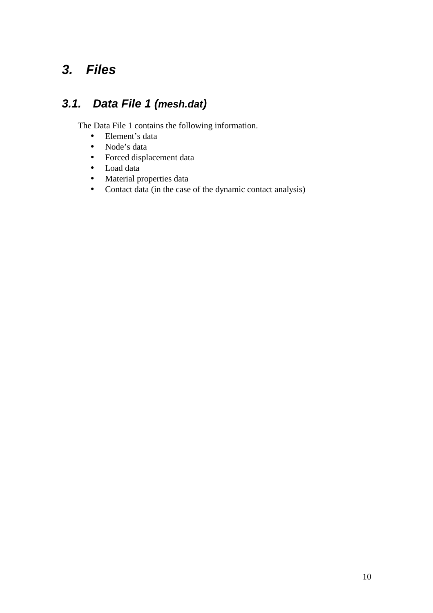# <span id="page-9-0"></span>*3. Files*

# *3.1. Data File 1 (mesh.dat)*

The Data File 1 contains the following information.

- Element's data
- Node's data
- Forced displacement data
- Load data
- Material properties data
- Contact data (in the case of the dynamic contact analysis)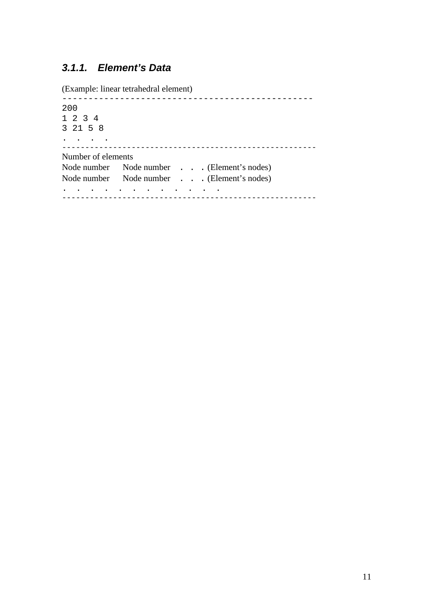## <span id="page-10-0"></span>*3.1.1. Element's Data*

(Example: linear tetrahedral element)

------------------------------------------------ 200 1 2 3 4 3 21 5 8 . . . . ------------------------------------------------------- Number of elements Node number Node number . . . (Element's nodes) Node number Node number . . . (Element's nodes) . . . . . . . . . . . . -------------------------------------------------------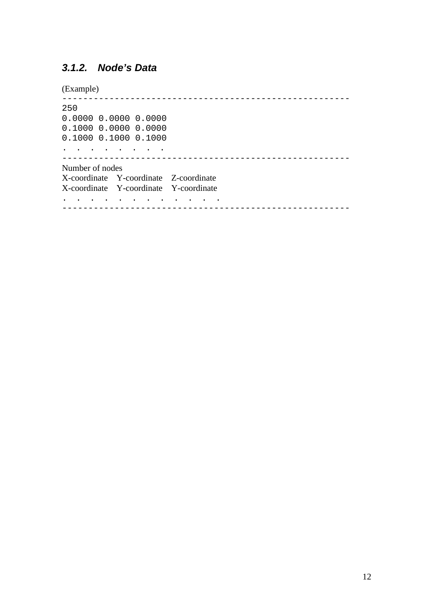## <span id="page-11-0"></span>*3.1.2. Node's Data*

(Example)

------------------------------------------------------- 250 0.0000 0.0000 0.0000 0.1000 0.0000 0.0000 0.1000 0.1000 0.1000 . . . . . . . . ------------------------------------------------------- Number of nodes X-coordinate Y-coordinate Z-coordinate X-coordinate Y-coordinate Y-coordinate . . . . . . . . . . . . -------------------------------------------------------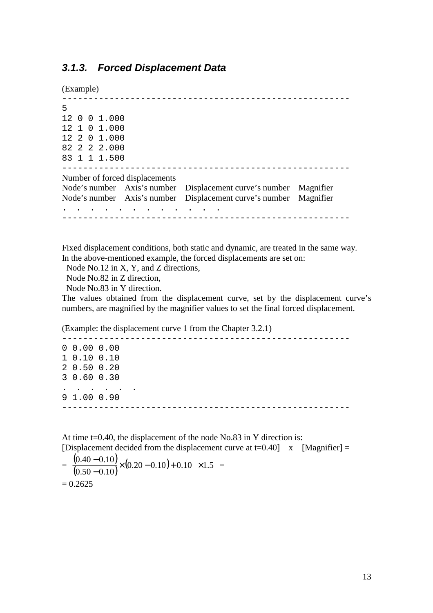#### <span id="page-12-0"></span>*3.1.3. Forced Displacement Data*

(Example)

------------------------------------------------------- 5 12 0 0 1.000 12 1 0 1.000 12 2 0 1.000 82 2 2 2.000 83 1 1 1.500 ------------------------------------------------------- Number of forced displacements Node's number Axis's number Displacement curve's number Magnifier Node's number Axis's number Displacement curve's number Magnifier . . . . . . . . . . . . -------------------------------------------------------

Fixed displacement conditions, both static and dynamic, are treated in the same way. In the above-mentioned example, the forced displacements are set on:

Node No.12 in X, Y, and Z directions,

Node No.82 in Z direction,

Node No.83 in Y direction.

The values obtained from the displacement curve, set by the displacement curve's numbers, are magnified by the magnifier values to set the final forced displacement.

(Example: the displacement curve 1 from the Chapter 3.2.1)

------------------------------------------------------- 0 0.00 0.00 1 0.10 0.10 2 0.50 0.20 3 0.60 0.30 . . . . . . 9 1.00 0.90 -------------------------------------------------------

At time t=0.40, the displacement of the node No.83 in Y direction is: [Displacement decided from the displacement curve at  $t=0.40$ ] x [Magnifier] =

$$
= \left\{ \frac{(0.40 - 0.10)}{(0.50 - 0.10)} \times (0.20 - 0.10) + 0.10 \right\} \times 1.5 = 0.2625
$$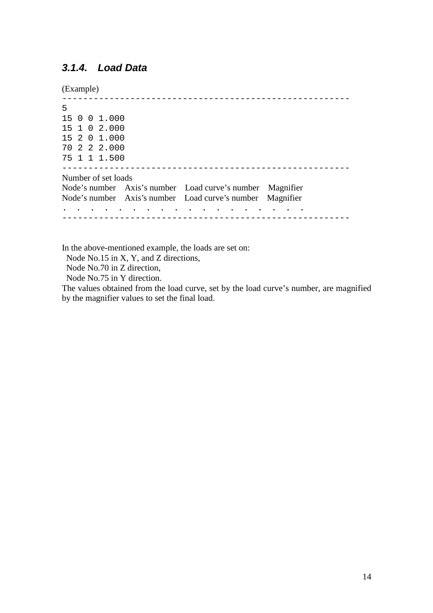#### <span id="page-13-0"></span>*3.1.4. Load Data*

(Example)

------------------------------------------------------- 5 15 0 0 1.000 15 1 0 2.000 15 2 0 1.000 70 2 2 2.000 75 1 1 1.500 ------------------------------------------------------- Number of set loads Node's number Axis's number Load curve's number Magnifier Node's number Axis's number Load curve's number Magnifier . . . . . . . . . . . . . . . . . . -------------------------------------------------------

In the above-mentioned example, the loads are set on:

Node No.15 in X, Y, and Z directions,

Node No.70 in Z direction,

Node No.75 in Y direction.

The values obtained from the load curve, set by the load curve's number, are magnified by the magnifier values to set the final load.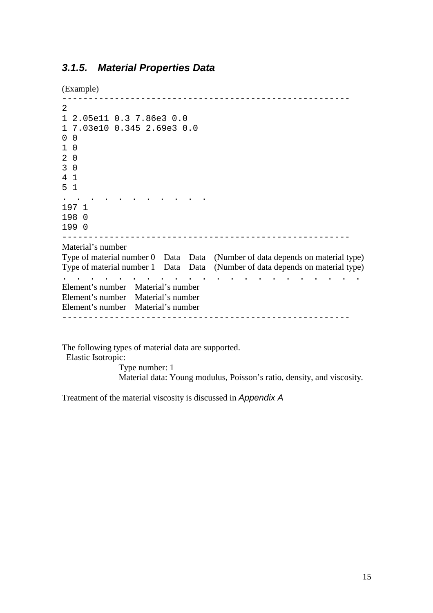#### <span id="page-14-0"></span>*3.1.5. Material Properties Data*

(Example)

```
------------------------------------------------------- 
2 
1 2.05e11 0.3 7.86e3 0.0 
1 7.03e10 0.345 2.69e3 0.0 
0 0 
1 0 
2 0 
3 0 
4 1 
5 1 
. . . . . . . . . . . 
197 1 
198 0 
199 0 
------------------------------------------------------- 
Material's number 
Type of material number 0 Data Data (Number of data depends on material type) 
Type of material number 1 Data Data (Number of data depends on material type) 
               . . . . . . . . . . . . . . . . . . . . . . 
Element's number Material's number 
Element's number Material's number 
Element's number Material's number 
-------------------------------------------------------
```
The following types of material data are supported.

Elastic Isotropic:

 Type number: 1 Material data: Young modulus, Poisson's ratio, density, and viscosity.

Treatment of the material viscosity is discussed in *Appendix A*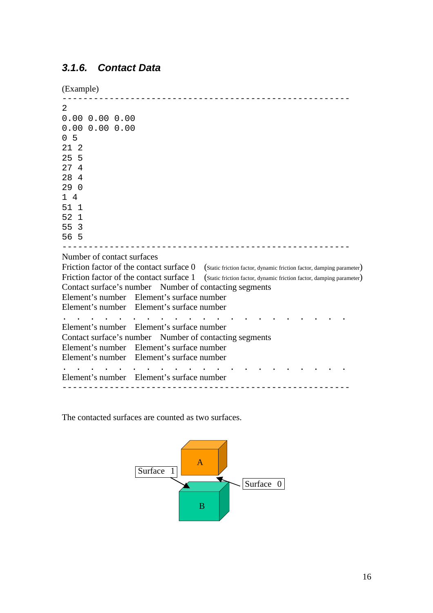### <span id="page-15-0"></span>*3.1.6. Contact Data*

(Example)

```
------------------------------------------------------- 
2 
0.00 0.00 0.00 
0.00 0.00 0.00 
0 5 
21 2 
25 5 
27 4 
28 4 
29 0 
1 4 
51 1 
52 1 
55 3 
56 5 
------------------------------------------------------- 
Number of contact surfaces 
Friction factor of the contact surface 0 (Static friction factor, dynamic friction factor, damping parameter)
Friction factor of the contact surface 1 (Static friction factor, dynamic friction factor, damping parameter)
Contact surface's number Number of contacting segments 
Element's number Element's surface number 
Element's number Element's surface number 
       . . . . . . . . . . . . . . . . . . . . . 
Element's number Element's surface number 
Contact surface's number Number of contacting segments 
Element's number Element's surface number 
Element's number Element's surface number 
. . . . . . . . . . . . . . . . . . . . . 
Element's number Element's surface number 
                                            -------------------------------------------------------
```
The contacted surfaces are counted as two surfaces.

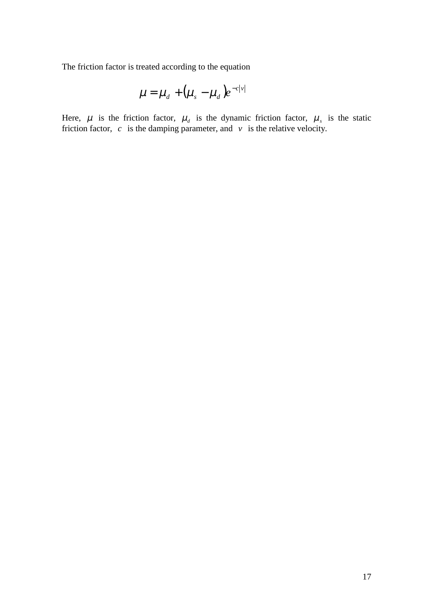The friction factor is treated according to the equation

$$
\mu = \mu_d + (\mu_s - \mu_d)e^{-c|v|}
$$

Here,  $\mu$  is the friction factor,  $\mu_d$  is the dynamic friction factor,  $\mu_s$  is the static friction factor,  $c$  is the damping parameter, and  $v$  is the relative velocity.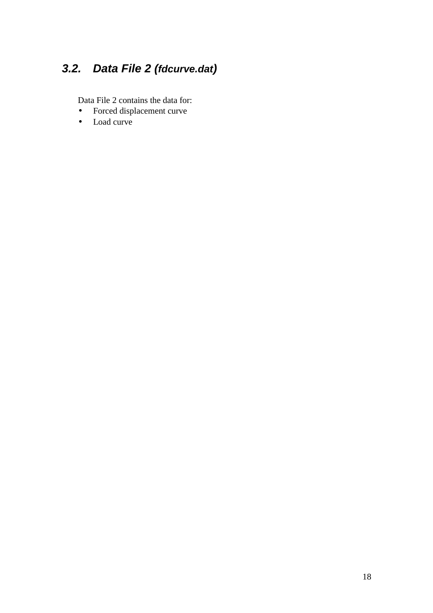# <span id="page-17-0"></span>*3.2. Data File 2 (fdcurve.dat)*

Data File 2 contains the data for:

- Forced displacement curve
- Load curve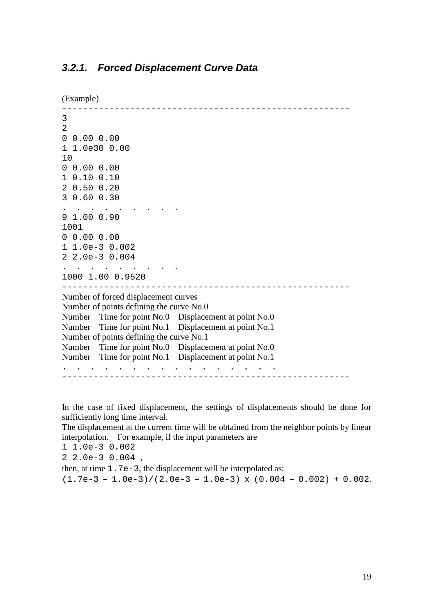```
(Example) 
------------------------------------------------------- 
3 
2 
0 0.00 0.00 
1 1.0e30 0.00 
1<sub>0</sub>0 0.00 0.00 
1 0.10 0.10 
2 0.50 0.20 
3 0.60 0.30 
   . . . . . . . . . 
9 1.00 0.90 
1001 
0 0.00 0.00 
1 1.0e-3 0.002 
2 2.0e-3 0.004 
  . . . . . . . . . 
1000 1.00 0.9520 
------------------------------------------------------- 
Number of forced displacement curves 
Number of points defining the curve No.0 
Number Time for point No.0 Displacement at point No.0 
Number Time for point No.1 Displacement at point No.1 
Number of points defining the curve No.1 
Number Time for point No.0 Displacement at point No.0 
Number Time for point No.1 Displacement at point No.1 
      . . . . . . . . . . . . . . . . 
                                                    -------------------------------------------------------
```
In the case of fixed displacement, the settings of displacements should be done for sufficiently long time interval.

The displacement at the current time will be obtained from the neighbor points by linear interpolation. For example, if the input parameters are

1 1.0e-3 0.002

2 2.0e-3 0.004 ,

then, at time 1.7e-3, the displacement will be interpolated as:

 $(1.7e-3 - 1.0e-3)/(2.0e-3 - 1.0e-3) \times (0.004 - 0.002) + 0.002$ .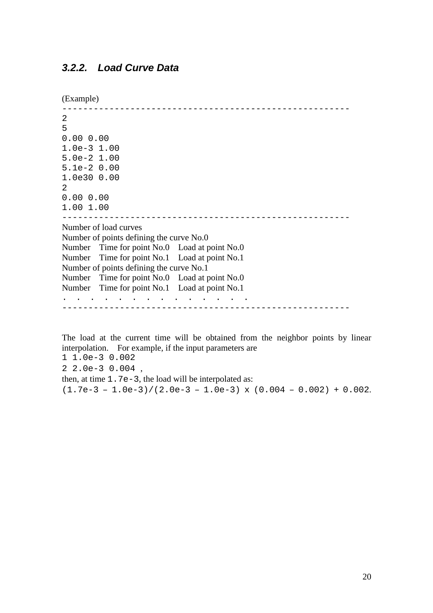```
(Example) 
------------------------------------------------------- 
\overline{2}5 
0.00 0.00 
1.0e-3 1.00 
5.0e-2 1.00 
5.1e-2 0.00 
1.0e30 0.00 
2 
0.00 0.00 
1.00 1.00 
------------------------------------------------------- 
Number of load curves 
Number of points defining the curve No.0 
Number Time for point No.0 Load at point No.0 
Number Time for point No.1 Load at point No.1 
Number of points defining the curve No.1 
Number Time for point No.0 Load at point No.0 
Number Time for point No.1 Load at point No.1 
   . . . . . . . . . . . . . . 
-------------------------------------------------------
```
The load at the current time will be obtained from the neighbor points by linear interpolation. For example, if the input parameters are

1 1.0e-3 0.002 2 2.0e-3 0.004 , then, at time  $1.7e-3$ , the load will be interpolated as:  $(1.7e-3 - 1.0e-3)/(2.0e-3 - 1.0e-3) \times (0.004 - 0.002) + 0.002$ .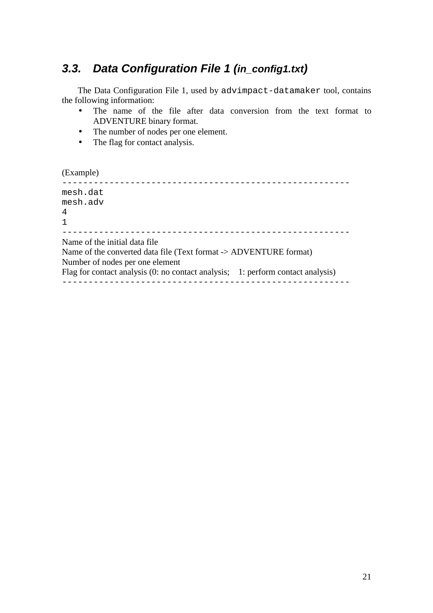## <span id="page-20-0"></span>*3.3. Data Configuration File 1 (in\_config1.txt)*

The Data Configuration File 1, used by advimpact-datamaker tool, contains the following information:

- The name of the file after data conversion from the text format to ADVENTURE binary format.
- The number of nodes per one element.
- The flag for contact analysis.

(Example)

------------------------------------------------------ mesh.dat mesh.adv 4 1 ------------------------------------------------------- Name of the initial data file Name of the converted data file (Text format -> ADVENTURE format) Number of nodes per one element Flag for contact analysis (0: no contact analysis; 1: perform contact analysis) -------------------------------------------------------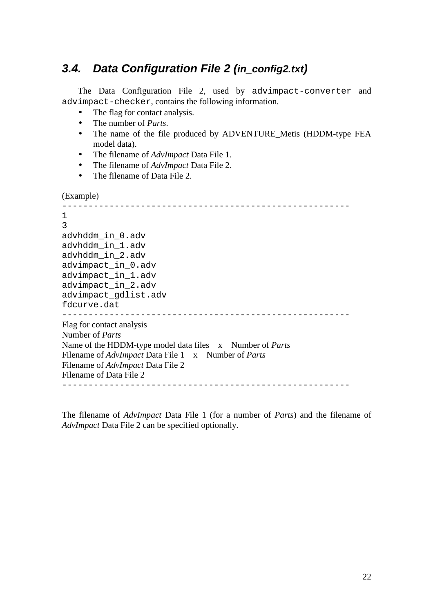## <span id="page-21-0"></span>*3.4. Data Configuration File 2 (in\_config2.txt)*

The Data Configuration File 2, used by advimpact-converter and advimpact-checker, contains the following information.

- The flag for contact analysis.
- The number of *Parts*.
- The name of the file produced by ADVENTURE\_Metis (HDDM-type FEA model data).
- The filename of *AdvImpact* Data File 1.
- The filename of *AdvImpact* Data File 2.
- The filename of Data File 2.

```
(Example)
```

```
------------------------------------------------------- 
1 
3 
advhddm_in_0.adv 
advhddm_in_1.adv 
advhddm_in_2.adv 
advimpact_in_0.adv 
advimpact_in_1.adv 
advimpact_in_2.adv 
advimpact_gdlist.adv 
fdcurve.dat 
------------------------------------------------------- 
Flag for contact analysis 
Number of Parts
Name of the HDDM-type model data files x Number of Parts
Filename of AdvImpact Data File 1 x Number of Parts
Filename of AdvImpact Data File 2 
Filename of Data File 2 
-------------------------------------------------------
```
The filename of *AdvImpact* Data File 1 (for a number of *Parts*) and the filename of *AdvImpact* Data File 2 can be specified optionally.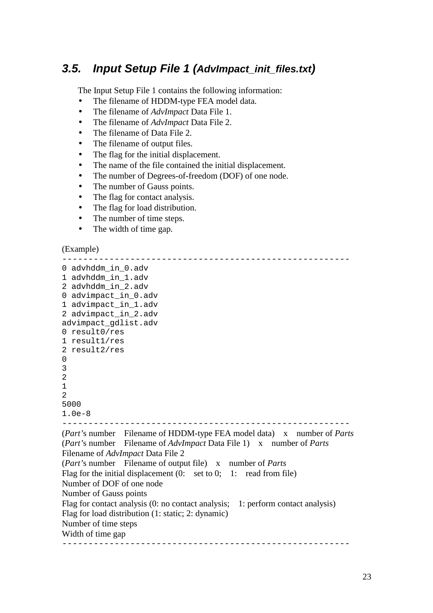## <span id="page-22-0"></span>*3.5. Input Setup File 1 (AdvImpact\_init\_files.txt)*

The Input Setup File 1 contains the following information:

- The filename of HDDM-type FEA model data.
- The filename of *AdvImpact* Data File 1.
- The filename of *AdvImpact* Data File 2.
- The filename of Data File 2.
- The filename of output files.
- The flag for the initial displacement.
- The name of the file contained the initial displacement.
- The number of Degrees-of-freedom (DOF) of one node.
- The number of Gauss points.
- The flag for contact analysis.
- The flag for load distribution.
- The number of time steps.
- The width of time gap.

#### (Example)

------------------------------------------------------- 0 advhddm\_in\_0.adv 1 advhddm\_in\_1.adv 2 advhddm\_in\_2.adv 0 advimpact\_in\_0.adv 1 advimpact\_in\_1.adv 2 advimpact\_in\_2.adv advimpact\_gdlist.adv 0 result0/res 1 result1/res 2 result2/res  $\Omega$ 3 2 1  $\overline{2}$ 5000 1.0e-8 ------------------------------------------------------- (*Part'*s number Filename of HDDM-type FEA model data) x number of *Parts* (*Part'*s number Filename of *AdvImpact* Data File 1) x number of *Parts* Filename of *AdvImpact* Data File 2 (*Part'*s number Filename of output file) x number of *Parts* Flag for the initial displacement (0: set to 0; 1: read from file) Number of DOF of one node Number of Gauss points Flag for contact analysis (0: no contact analysis; 1: perform contact analysis) Flag for load distribution (1: static; 2: dynamic) Number of time steps Width of time gap -------------------------------------------------------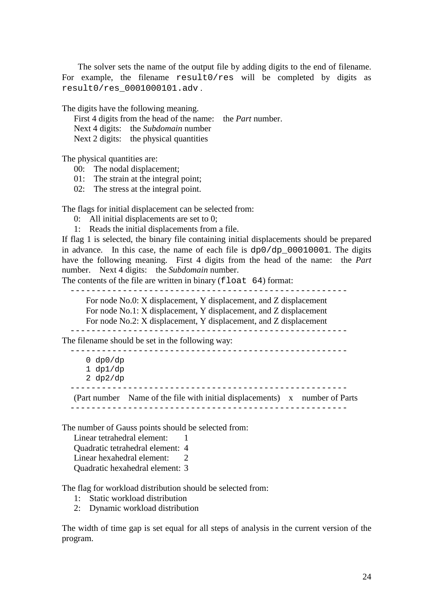The solver sets the name of the output file by adding digits to the end of filename. For example, the filename result0/res will be completed by digits as result0/res\_0001000101.adv .

The digits have the following meaning.

First 4 digits from the head of the name: the *Part* number. Next 4 digits: the *Subdomain* number Next 2 digits: the physical quantities

The physical quantities are:

00: The nodal displacement;

01: The strain at the integral point;

02: The stress at the integral point.

The flags for initial displacement can be selected from:

0: All initial displacements are set to 0;

1: Reads the initial displacements from a file.

If flag 1 is selected, the binary file containing initial displacements should be prepared in advance. In this case, the name of each file is dp0/dp\_00010001. The digits have the following meaning. First 4 digits from the head of the name: the *Part* number. Next 4 digits: the *Subdomain* number.

The contents of the file are written in binary  $(f$ loat 64) format:

-----------------------------------------------------

For node No.0: X displacement, Y displacement, and Z displacement For node No.1: X displacement, Y displacement, and Z displacement For node No.2: X displacement, Y displacement, and Z displacement -----------------------------------------------------

The filename should be set in the following way:

----------------------------------------------------- 0 dp0/dp 1 dp1/dp 2 dp2/dp

-----------------------------------------------------

(Part number Name of the file with initial displacements) x number of Parts -----------------------------------------------------

The number of Gauss points should be selected from:

Linear tetrahedral element: 1 Quadratic tetrahedral element: 4 Linear hexahedral element: 2 Quadratic hexahedral element: 3

The flag for workload distribution should be selected from:

1: Static workload distribution

2: Dynamic workload distribution

The width of time gap is set equal for all steps of analysis in the current version of the program.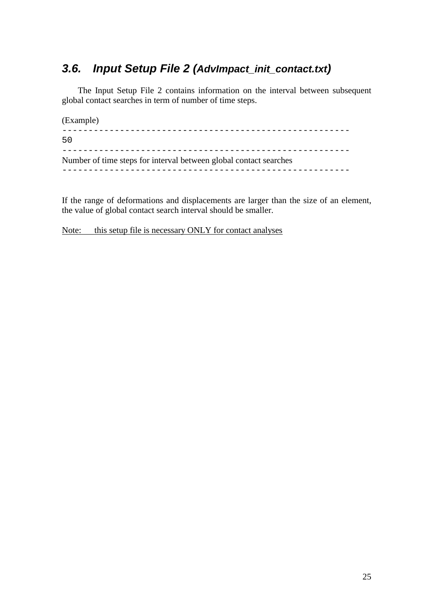# <span id="page-24-0"></span>*3.6. Input Setup File 2 (AdvImpact\_init\_contact.txt)*

The Input Setup File 2 contains information on the interval between subsequent global contact searches in term of number of time steps.

(Example) ------------------------------------------------------- 50 ------------------------------------------------------- Number of time steps for interval between global contact searches -------------------------------------------------------

If the range of deformations and displacements are larger than the size of an element, the value of global contact search interval should be smaller.

Note: this setup file is necessary ONLY for contact analyses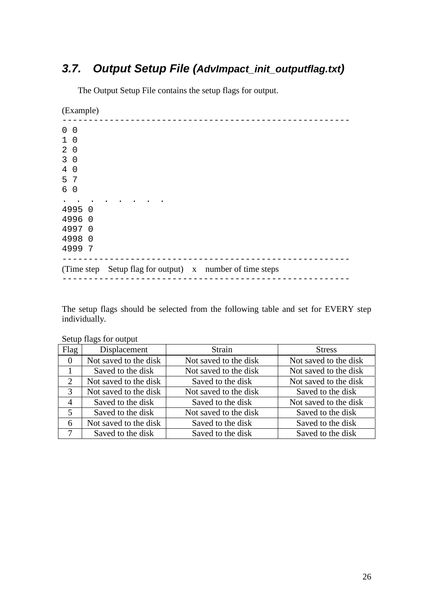# <span id="page-25-0"></span>*3.7. Output Setup File (AdvImpact\_init\_outputflag.txt)*

The Output Setup File contains the setup flags for output.

(Example)

| $\mathbf 0$                  | 0        |                                              |  |  |                                                          |
|------------------------------|----------|----------------------------------------------|--|--|----------------------------------------------------------|
| $\mathbf 1$                  | 0        |                                              |  |  |                                                          |
| $\overline{2}$               | 0        |                                              |  |  |                                                          |
| $\mathsf{3}$                 | 0        |                                              |  |  |                                                          |
| 4                            | $\Omega$ |                                              |  |  |                                                          |
| 5                            | -7       |                                              |  |  |                                                          |
| 6                            | 0        |                                              |  |  |                                                          |
| 4995<br>4996<br>4997<br>4998 | 4999 7   | $\Omega$<br>$\Omega$<br>$\Omega$<br>$\Omega$ |  |  |                                                          |
|                              |          |                                              |  |  | (Time step Setup flag for output) x number of time steps |

The setup flags should be selected from the following table and set for EVERY step individually.

| Flag           | Displacement          | Strain                | <b>Stress</b>         |
|----------------|-----------------------|-----------------------|-----------------------|
| $\theta$       | Not saved to the disk | Not saved to the disk | Not saved to the disk |
|                | Saved to the disk     | Not saved to the disk | Not saved to the disk |
| 2              | Not saved to the disk | Saved to the disk     | Not saved to the disk |
| 3              | Not saved to the disk | Not saved to the disk | Saved to the disk     |
| $\overline{4}$ | Saved to the disk     | Saved to the disk     | Not saved to the disk |
| 5              | Saved to the disk     | Not saved to the disk | Saved to the disk     |
| 6              | Not saved to the disk | Saved to the disk     | Saved to the disk     |
| 7              | Saved to the disk     | Saved to the disk     | Saved to the disk     |

#### Setup flags for output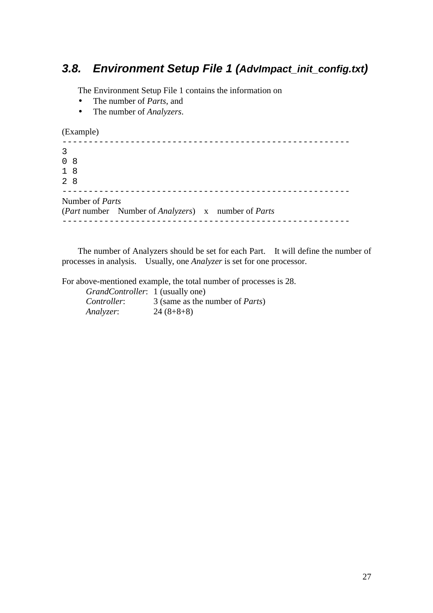## <span id="page-26-0"></span>*3.8. Environment Setup File 1 (AdvImpact\_init\_config.txt)*

The Environment Setup File 1 contains the information on

- The number of *Parts*, and
- The number of *Analyzers*.

(Example)

| 3 |                        |                                                                            |  |
|---|------------------------|----------------------------------------------------------------------------|--|
|   | 0 <sub>8</sub>         |                                                                            |  |
|   | 18                     |                                                                            |  |
|   | 28                     |                                                                            |  |
|   | Number of <i>Parts</i> |                                                                            |  |
|   |                        | ( <i>Part</i> number Number of <i>Analyzers</i> ) x number of <i>Parts</i> |  |
|   |                        |                                                                            |  |

The number of Analyzers should be set for each Part. It will define the number of processes in analysis. Usually, one *Analyzer* is set for one processor.

For above-mentioned example, the total number of processes is 28.

| <i>GrandController</i> : 1 (usually one) |                                         |
|------------------------------------------|-----------------------------------------|
| Controller:                              | 3 (same as the number of <i>Parts</i> ) |
| Analyzer:                                | $24(8+8+8)$                             |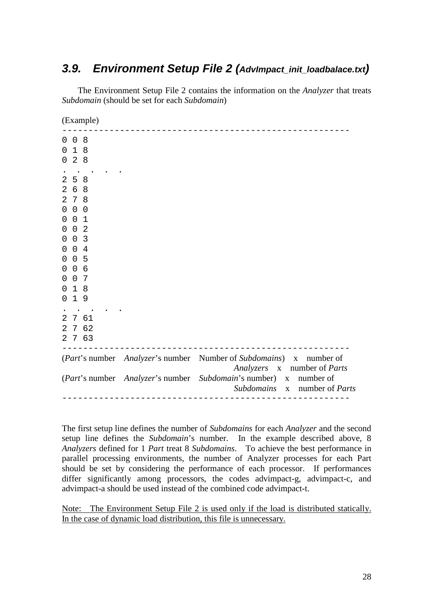## <span id="page-27-0"></span>*3.9. Environment Setup File 2 (AdvImpact\_init\_loadbalace.txt)*

The Environment Setup File 2 contains the information on the *Analyzer* that treats *Subdomain* (should be set for each *Subdomain*)

(Example)

| 8<br>0<br>0<br>18<br>0<br>28<br>0<br>2<br>5<br>8<br>2<br>6 8<br>7 8<br>2<br>$0\quad 0$<br>$\mathsf 0$<br>0 <sub>1</sub><br>0<br>0 <sub>2</sub><br>0<br>0 <sup>3</sup><br>0<br>0 <sub>4</sub><br>0<br>5<br>$\overline{0}$<br>0<br>0 <sub>6</sub><br>0<br>0 <sub>7</sub><br>0<br>$\mathbf 1$<br>- 8<br>0<br>$\mathbf{1}$<br>- 9<br>0<br>2<br>7 61<br>7 62<br>$\overline{2}$<br>7 63<br>$\overline{2}$<br>( <i>Part</i> 's number <i>Analyzer</i> 's number<br>Number of Subdomains) x<br>number of<br>Analyzers x number of Parts<br>(Part's number Analyzer's number Subdomain's number) x number of |  |  |                              |
|-----------------------------------------------------------------------------------------------------------------------------------------------------------------------------------------------------------------------------------------------------------------------------------------------------------------------------------------------------------------------------------------------------------------------------------------------------------------------------------------------------------------------------------------------------------------------------------------------------|--|--|------------------------------|
|                                                                                                                                                                                                                                                                                                                                                                                                                                                                                                                                                                                                     |  |  |                              |
|                                                                                                                                                                                                                                                                                                                                                                                                                                                                                                                                                                                                     |  |  |                              |
|                                                                                                                                                                                                                                                                                                                                                                                                                                                                                                                                                                                                     |  |  |                              |
|                                                                                                                                                                                                                                                                                                                                                                                                                                                                                                                                                                                                     |  |  | Subdomains x number of Parts |

The first setup line defines the number of *Subdomains* for each *Analyzer* and the second setup line defines the *Subdomain*'s number. In the example described above, 8 *Analyzers* defined for 1 *Part* treat 8 *Subdomains*. To achieve the best performance in parallel processing environments, the number of Analyzer processes for each Part should be set by considering the performance of each processor. If performances differ significantly among processors, the codes advimpact-g, advimpact-c, and advimpact-a should be used instead of the combined code advimpact-t.

Note: The Environment Setup File 2 is used only if the load is distributed statically. In the case of dynamic load distribution, this file is unnecessary.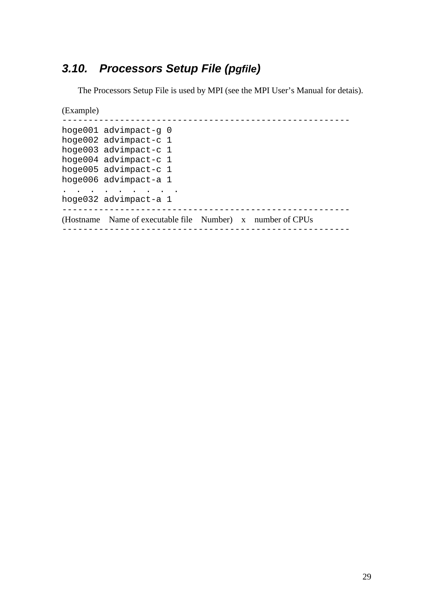# <span id="page-28-0"></span>*3.10. Processors Setup File (pgfile)*

The Processors Setup File is used by MPI (see the MPI User's Manual for detais).

(Example)

```
------------------------------------------------------- 
hoge001 advimpact-g 0 
hoge002 advimpact-c 1 
hoge003 advimpact-c 1 
hoge004 advimpact-c 1 
hoge005 advimpact-c 1 
hoge006 advimpact-a 1 
. . . . . . . . . 
hoge032 advimpact-a 1 
------------------------------------------------------- 
(Hostname Name of executable file Number) x number of CPUs 
-------------------------------------------------------
```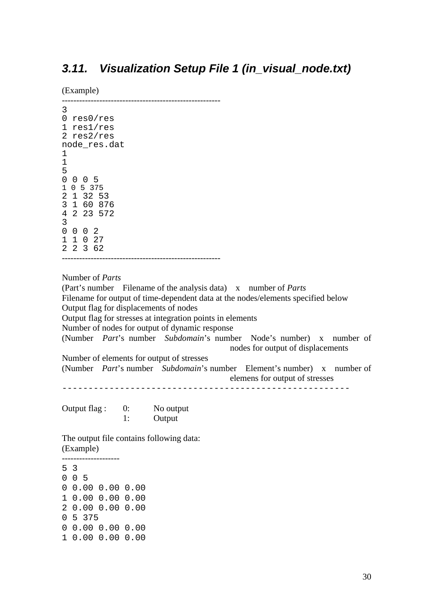## <span id="page-29-0"></span>*3.11. Visualization Setup File 1 (in\_visual\_node.txt)*

(Example)

```
------------------------------------------------------- 
3 
0 res0/res 
1 res1/res 
2 res2/res 
node_res.dat 
1 
1
5 
0 0 0 5 
1 0 5 375 
2 1 32 53 
3 1 60 876 
4 2 23 572 
3 
0 \t 0 \t 21 1 0 27 
2 2 3 62 
-------------------------------------------------------
```
Number of *Parts*

(Part's number Filename of the analysis data) x number of *Parts* Filename for output of time-dependent data at the nodes/elements specified below Output flag for displacements of nodes Output flag for stresses at integration points in elements Number of nodes for output of dynamic response (Number *Part*'s number *Subdomain*'s number Node's number) x number of nodes for output of displacements Number of elements for output of stresses (Number *Part*'s number *Subdomain*'s number Element's number) x number of elemens for output of stresses -------------------------------------------------------

Output flag : 0: No output 1: Output

The output file contains following data: (Example) --------------------

5 3 0 0 5 0 0.00 0.00 0.00 1 0.00 0.00 0.00 2 0.00 0.00 0.00 0 5 375 0 0.00 0.00 0.00 1 0.00 0.00 0.00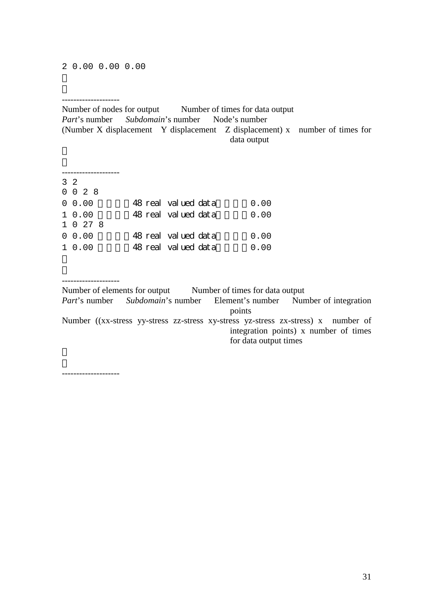#### --------------------

Number of nodes for output Number of times for data output *Part*'s number *Subdomain*'s number Node's number (Number X displacement Y displacement Z displacement) x number of times for data output

| $3 \t2$ |                 |                      |      |
|---------|-----------------|----------------------|------|
|         | $0 \t0 \t2 \t8$ |                      |      |
|         | $0\;\;0.00$     | 48 real valued data  | 0.00 |
|         | 10.00           | 48 real valued data  | 0.00 |
|         | 1 0 27 8        |                      |      |
|         | $0\;\;0.00$     | 48 real valued data  | 0.00 |
|         | 10.00           | 48 real valued dat a | 0.00 |

-------------------- Number of elements for output Number of times for data output *Part*'s number *Subdomain*'s number Element's number Number of integration points Number ((xx-stress yy-stress zz-stress xy-stress yz-stress zx-stress) x number of integration points) x number of times for data output times

--------------------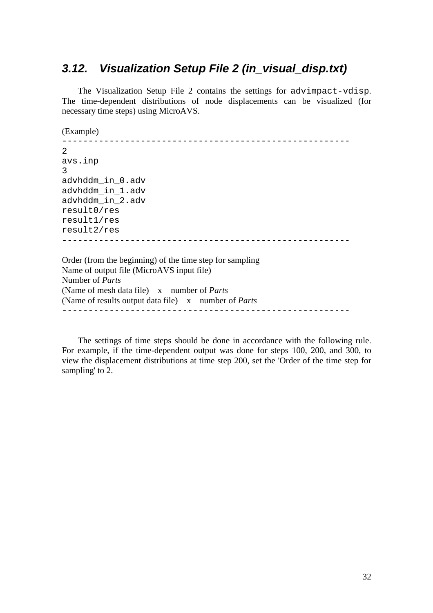## <span id="page-31-0"></span>*3.12. Visualization Setup File 2 (in\_visual\_disp.txt)*

The Visualization Setup File 2 contains the settings for advimpact-vdisp. The time-dependent distributions of node displacements can be visualized (for necessary time steps) using MicroAVS.

(Example)

------------------------------------------------------- 2 avs.inp 3 advhddm\_in\_0.adv advhddm\_in\_1.adv advhddm\_in\_2.adv result0/res result1/res result2/res ------------------------------------------------------- Order (from the beginning) of the time step for sampling Name of output file (MicroAVS input file) Number of *Parts* (Name of mesh data file) x number of *Parts*

(Name of results output data file) x number of *Parts* -------------------------------------------------------

The settings of time steps should be done in accordance with the following rule. For example, if the time-dependent output was done for steps 100, 200, and 300, to view the displacement distributions at time step 200, set the 'Order of the time step for sampling' to 2.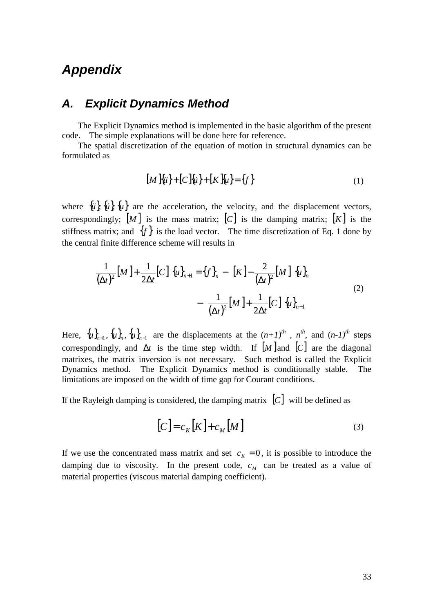# <span id="page-32-0"></span>*Appendix*

### *A. Explicit Dynamics Method*

The Explicit Dynamics method is implemented in the basic algorithm of the present code. The simple explanations will be done here for reference.

The spatial discretization of the equation of motion in structural dynamics can be formulated as

$$
[M \, \{ii\} + [C \, \{ii\} + [K \, \{u\} = \{f\} \tag{1}
$$

where  ${\hat{u}}$ ,  ${\hat{u}}$ ,  ${\hat{u}}$ ,  ${\hat{u}}$  are the acceleration, the velocity, and the displacement vectors, correspondingly;  $[M]$  is the mass matrix;  $[C]$  is the damping matrix;  $[K]$  is the stiffness matrix; and  $\{f\}$  is the load vector. The time discretization of Eq. 1 done by the central finite difference scheme will results in

$$
\left(\frac{1}{(\Delta t)^2}[M] + \frac{1}{2\Delta t}[C]\right) \{u\}_{n+1} = \{f\}_n - \left([K] - \frac{2}{(\Delta t)^2}[M]\right) \{u\}_n - \left(\frac{1}{(\Delta t)^2}[M] + \frac{1}{2\Delta t}[C]\right) \{u\}_{n-1}
$$
\n(2)

Here,  ${u}_{n+1}$ ,  ${u}_{n}$ ,  ${u}_{n-1}$  are the displacements at the  $(n+1)^{th}$ ,  $n^{th}$ , and  $(n-1)^{th}$  steps correspondingly, and  $\Delta t$  is the time step width. If  $[M]$  and  $[C]$  are the diagonal matrixes, the matrix inversion is not necessary. Such method is called the Explicit Dynamics method. The Explicit Dynamics method is conditionally stable. The limitations are imposed on the width of time gap for Courant conditions.

If the Rayleigh damping is considered, the damping matrix  $[C]$  will be defined as

$$
[C] = c_K [K] + c_M [M]
$$
\n(3)

If we use the concentrated mass matrix and set  $c<sub>K</sub> = 0$ , it is possible to introduce the damping due to viscosity. In the present code,  $c<sub>M</sub>$  can be treated as a value of material properties (viscous material damping coefficient).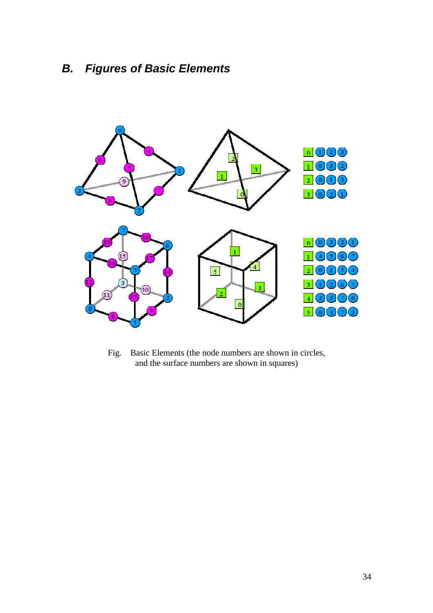# <span id="page-33-0"></span>*B. Figures of Basic Elements*



Fig. Basic Elements (the node numbers are shown in circles, and the surface numbers are shown in squares)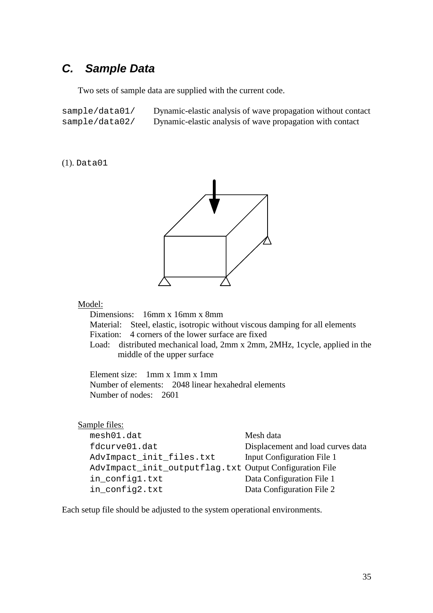## <span id="page-34-0"></span>*C. Sample Data*

Two sets of sample data are supplied with the current code.

sample/data01/ Dynamic-elastic analysis of wave propagation without contact sample/data02/ Dynamic-elastic analysis of wave propagation with contact

(1). Data01



#### Model:

Dimensions: 16mm x 16mm x 8mm Material: Steel, elastic, isotropic without viscous damping for all elements Fixation: 4 corners of the lower surface are fixed Load: distributed mechanical load, 2mm x 2mm, 2MHz, 1cycle, applied in the middle of the upper surface

Element size: 1mm x 1mm x 1mm Number of elements: 2048 linear hexahedral elements Number of nodes: 2601

| Sample files:                                           |                                   |
|---------------------------------------------------------|-----------------------------------|
| mesh01.dat                                              | Mesh data                         |
| fdcurve01.dat                                           | Displacement and load curves data |
| AdvImpact_init_files.txt                                | <b>Input Configuration File 1</b> |
| AdvImpact_init_outputflag.txt Output Configuration File |                                   |
| in_config1.txt                                          | Data Configuration File 1         |
| in_config2.txt                                          | Data Configuration File 2         |

Each setup file should be adjusted to the system operational environments.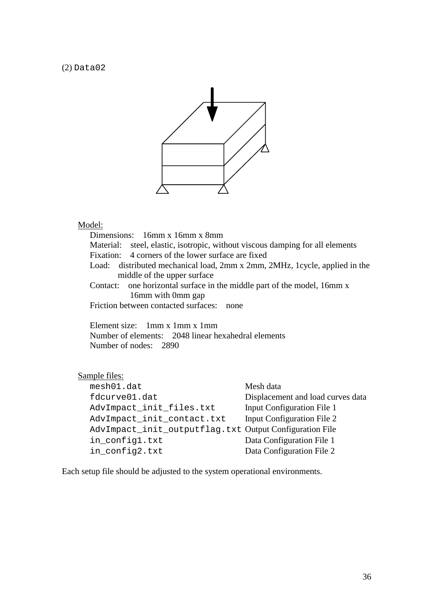(2) Data02



#### Model:

Dimensions: 16mm x 16mm x 8mm Material: steel, elastic, isotropic, without viscous damping for all elements Fixation: 4 corners of the lower surface are fixed Load: distributed mechanical load, 2mm x 2mm, 2MHz, 1cycle, applied in the middle of the upper surface Contact: one horizontal surface in the middle part of the model, 16mm x 16mm with 0mm gap Friction between contacted surfaces: none

Element size: 1mm x 1mm x 1mm Number of elements: 2048 linear hexahedral elements Number of nodes: 2890

#### Sample files:

| mesh01.dat                                              | Mesh data                         |
|---------------------------------------------------------|-----------------------------------|
| fdcurve01.dat                                           | Displacement and load curves data |
| AdvImpact_init_files.txt                                | <b>Input Configuration File 1</b> |
| AdvImpact_init_contact.txt                              | Input Configuration File 2        |
| AdvImpact_init_outputflag.txt Output Configuration File |                                   |
| in_config1.txt                                          | Data Configuration File 1         |
| in_config2.txt                                          | Data Configuration File 2         |

Each setup file should be adjusted to the system operational environments.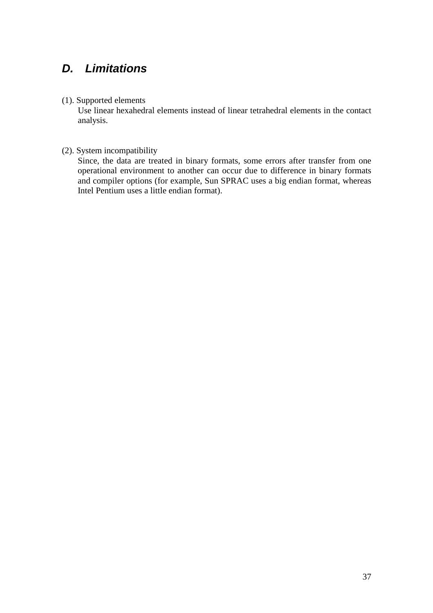# <span id="page-36-0"></span>*D. Limitations*

#### (1). Supported elements

Use linear hexahedral elements instead of linear tetrahedral elements in the contact analysis.

#### (2). System incompatibility

Since, the data are treated in binary formats, some errors after transfer from one operational environment to another can occur due to difference in binary formats and compiler options (for example, Sun SPRAC uses a big endian format, whereas Intel Pentium uses a little endian format).